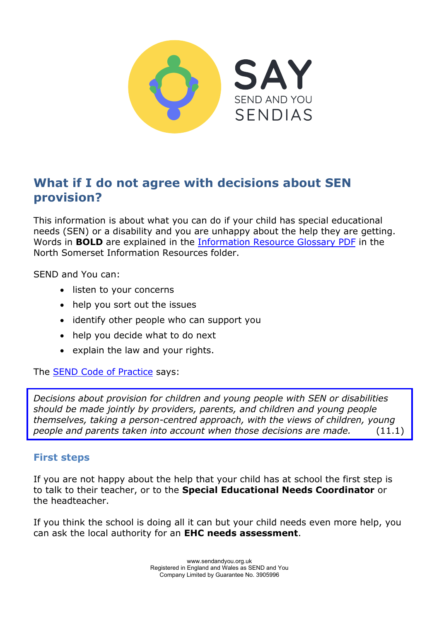

# **What if I do not agree with decisions about SEN provision?**

This information is about what you can do if your child has special educational needs (SEN) or a disability and you are unhappy about the help they are getting. Words in **BOLD** are explained in the [Information Resource Glossary PDF](https://www.sendandyou.org.uk/wp-content/uploads/2021/08/Information-Resource-Glossary-REVISED2-new.pdf) in the North Somerset Information Resources folder.

SEND and You can:

- listen to your concerns
- help you sort out the issues
- identify other people who can support you
- help you decide what to do next
- explain the law and your rights.

The [SEND Code of Practice](https://www.gov.uk/government/publications/send-code-of-practice-0-to-25) says:

*Decisions about provision for children and young people with SEN or disabilities should be made jointly by providers, parents, and children and young people themselves, taking a person-centred approach, with the views of children, young people and parents taken into account when those decisions are made.* (11.1)

#### **First steps**

If you are not happy about the help that your child has at school the first step is to talk to their teacher, or to the **Special Educational Needs Coordinator** or the headteacher.

If you think the school is doing all it can but your child needs even more help, you can ask the local authority for an **EHC needs assessment**.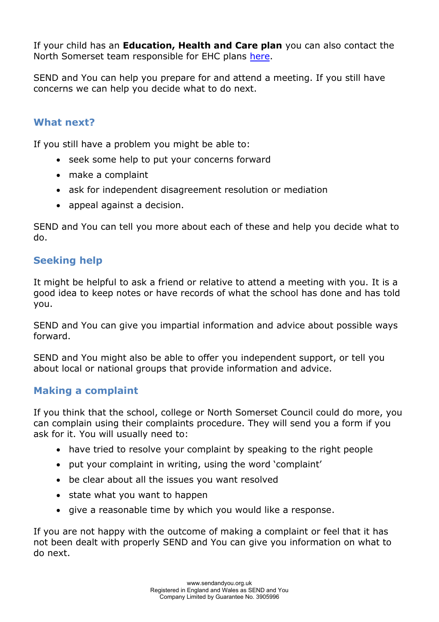If your child has an **Education, Health and Care plan** you can also contact the North Somerset team responsible for EHC plans [here.](mailto:Sen.team@n-somerset.gov.uk)

SEND and You can help you prepare for and attend a meeting. If you still have concerns we can help you decide what to do next.

### **What next?**

If you still have a problem you might be able to:

- seek some help to put your concerns forward
- make a complaint
- ask for independent disagreement resolution or mediation
- appeal against a decision.

SEND and You can tell you more about each of these and help you decide what to do.

# **Seeking help**

It might be helpful to ask a friend or relative to attend a meeting with you. It is a good idea to keep notes or have records of what the school has done and has told you.

SEND and You can give you impartial information and advice about possible ways forward.

SEND and You might also be able to offer you independent support, or tell you about local or national groups that provide information and advice.

#### **Making a complaint**

If you think that the school, college or North Somerset Council could do more, you can complain using their complaints procedure. They will send you a form if you ask for it. You will usually need to:

- have tried to resolve your complaint by speaking to the right people
- put your complaint in writing, using the word 'complaint'
- be clear about all the issues you want resolved
- state what you want to happen
- give a reasonable time by which you would like a response.

If you are not happy with the outcome of making a complaint or feel that it has not been dealt with properly SEND and You can give you information on what to do next.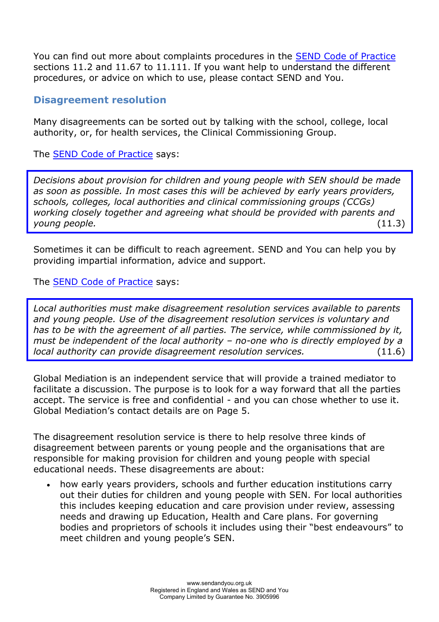You can find out more about complaints procedures in the [SEND Code of Practice](https://www.gov.uk/government/publications/send-code-of-practice-0-to-25) sections 11.2 and 11.67 to 11.111. If you want help to understand the different procedures, or advice on which to use, please contact SEND and You.

#### **Disagreement resolution**

Many disagreements can be sorted out by talking with the school, college, local authority, or, for health services, the Clinical Commissioning Group.

The [SEND Code of Practice](https://www.gov.uk/government/publications/send-code-of-practice-0-to-25) says:

*Decisions about provision for children and young people with SEN should be made as soon as possible. In most cases this will be achieved by early years providers, schools, colleges, local authorities and clinical commissioning groups (CCGs) working closely together and agreeing what should be provided with parents and young people.* (11.3)

Sometimes it can be difficult to reach agreement. SEND and You can help you by providing impartial information, advice and support.

The [SEND Code of Practice](https://www.gov.uk/government/publications/send-code-of-practice-0-to-25) says:

*Local authorities must make disagreement resolution services available to parents and young people. Use of the disagreement resolution services is voluntary and has to be with the agreement of all parties. The service, while commissioned by it, must be independent of the local authority – no-one who is directly employed by a local authority can provide disagreement resolution services.* (11.6)

Global Mediation is an independent service that will provide a trained mediator to facilitate a discussion. The purpose is to look for a way forward that all the parties accept. The service is free and confidential - and you can chose whether to use it. Global Mediation's contact details are on Page 5.

The disagreement resolution service is there to help resolve three kinds of disagreement between parents or young people and the organisations that are responsible for making provision for children and young people with special educational needs. These disagreements are about:

 how early years providers, schools and further education institutions carry out their duties for children and young people with SEN. For local authorities this includes keeping education and care provision under review, assessing needs and drawing up Education, Health and Care plans. For governing bodies and proprietors of schools it includes using their "best endeavours" to meet children and young people's SEN.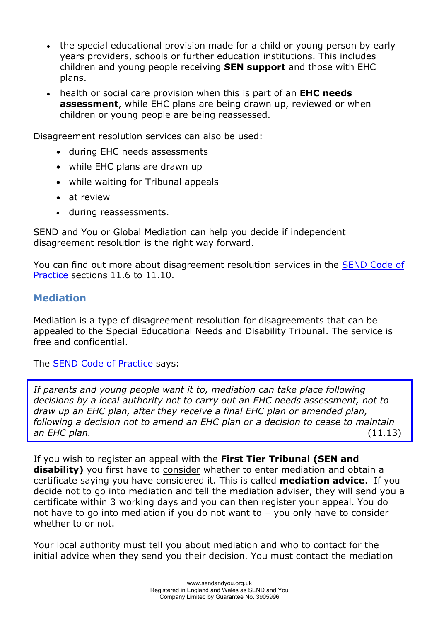- the special educational provision made for a child or young person by early years providers, schools or further education institutions. This includes children and young people receiving **SEN support** and those with EHC plans.
- health or social care provision when this is part of an **EHC needs assessment**, while EHC plans are being drawn up, reviewed or when children or young people are being reassessed.

Disagreement resolution services can also be used:

- during EHC needs assessments
- while EHC plans are drawn up
- while waiting for Tribunal appeals
- at review
- during reassessments.

SEND and You or Global Mediation can help you decide if independent disagreement resolution is the right way forward.

You can find out more about disagreement resolution services in the [SEND Code of](https://www.gov.uk/government/publications/send-code-of-practice-0-to-25) [Practice](https://www.gov.uk/government/publications/send-code-of-practice-0-to-25) sections 11.6 to 11.10.

# **Mediation**

Mediation is a type of disagreement resolution for disagreements that can be appealed to the Special Educational Needs and Disability Tribunal. The service is free and confidential.

The [SEND Code of Practice](https://www.gov.uk/government/publications/send-code-of-practice-0-to-25) says:

If parents and young people want it to, mediation can take place following *decisions by a local authority not to carry out an EHC needs assessment, not to draw up an EHC plan, after they receive a final EHC plan or amended plan, following a decision not to amend an EHC plan or a decision to cease to maintain an EHC plan.* (11.13)

If you wish to register an appeal with the **First Tier Tribunal (SEN and disability)** you first have to consider whether to enter mediation and obtain a certificate saying you have considered it. This is called **mediation advice**. If you decide not to go into mediation and tell the mediation adviser, they will send you a certificate within 3 working days and you can then register your appeal. You do not have to go into mediation if you do not want to – you only have to consider whether to or not.

Your local authority must tell you about mediation and who to contact for the initial advice when they send you their decision. You must contact the mediation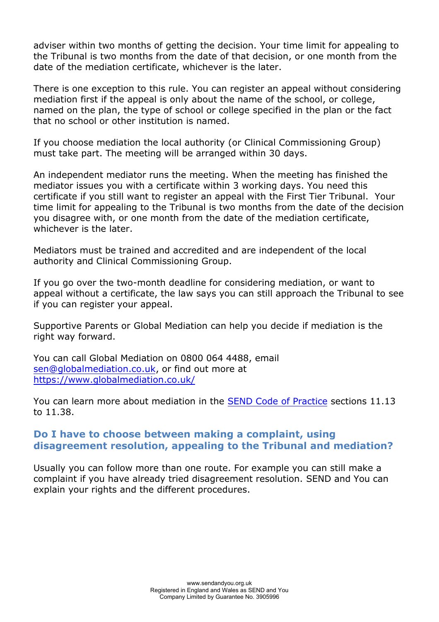adviser within two months of getting the decision. Your time limit for appealing to the Tribunal is two months from the date of that decision, or one month from the date of the mediation certificate, whichever is the later.

There is one exception to this rule. You can register an appeal without considering mediation first if the appeal is only about the name of the school, or college, named on the plan, the type of school or college specified in the plan or the fact that no school or other institution is named.

If you choose mediation the local authority (or Clinical Commissioning Group) must take part. The meeting will be arranged within 30 days.

An independent mediator runs the meeting. When the meeting has finished the mediator issues you with a certificate within 3 working days. You need this certificate if you still want to register an appeal with the First Tier Tribunal. Your time limit for appealing to the Tribunal is two months from the date of the decision you disagree with, or one month from the date of the mediation certificate, whichever is the later.

Mediators must be trained and accredited and are independent of the local authority and Clinical Commissioning Group.

If you go over the two-month deadline for considering mediation, or want to appeal without a certificate, the law says you can still approach the Tribunal to see if you can register your appeal.

Supportive Parents or Global Mediation can help you decide if mediation is the right way forward.

You can call Global Mediation on 0800 064 4488, email [sen@globalmediation.co.uk,](mailto:sen@globalmediation.co.uk) or find out more at <https://www.globalmediation.co.uk/>

You can learn more about mediation in the **SEND** Code of Practice sections 11.13 to 11.38.

#### **Do I have to choose between making a complaint, using disagreement resolution, appealing to the Tribunal and mediation?**

Usually you can follow more than one route. For example you can still make a complaint if you have already tried disagreement resolution. SEND and You can explain your rights and the different procedures.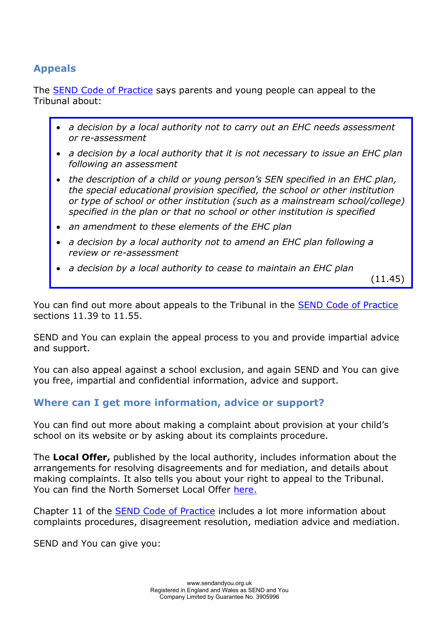# **Appeals**

The [SEND Code of Practice](https://www.gov.uk/government/publications/send-code-of-practice-0-to-25) says parents and young people can appeal to the Tribunal about:

- *a decision by a local authority not to carry out an EHC needs assessment or re-assessment*
- *a decision by a local authority that it is not necessary to issue an EHC plan following an assessment*
- the description of a child or young person's SEN specified in an *EHC plan*, *the special educational provision specified, the school or other institution or type of school or other institution (such as a mainstream school/college) specified in the plan or that no school or other institution is specified*
- *an amendment to these elements of the EHC plan*
- *a decision by a local authority not to amend an EHC plan following a review or re-assessment*
- *a decision by a local authority to cease to maintain an EHC plan*

 $(11.45)$ 

You can find out more about appeals to the Tribunal in the [SEND Code of Practice](https://www.gov.uk/government/publications/send-code-of-practice-0-to-25) sections 11.39 to 11.55.

SEND and You can explain the appeal process to you and provide impartial advice and support.

You can also appeal against a school exclusion, and again SEND and You can give you free, impartial and confidential information, advice and support.

# **Where can I get more information, advice or support?**

You can find out more about making a complaint about provision at your child's school on its website or by asking about its complaints procedure.

The **Local Offer,** published by the local authority, includes information about the arrangements for resolving disagreements and for mediation, and details about making complaints. It also tells you about your right to appeal to the Tribunal. You can find the North Somerset Local Offe[r here.](https://nsod.n-somerset.gov.uk/kb5/northsomerset/directory/localoffer.page?localofferchannel=0)

Chapter 11 of the **[SEND Code of Practice](https://www.gov.uk/government/publications/send-code-of-practice-0-to-25) includes a lot more information about** complaints procedures, disagreement resolution, mediation advice and mediation.

SEND and You can give you: